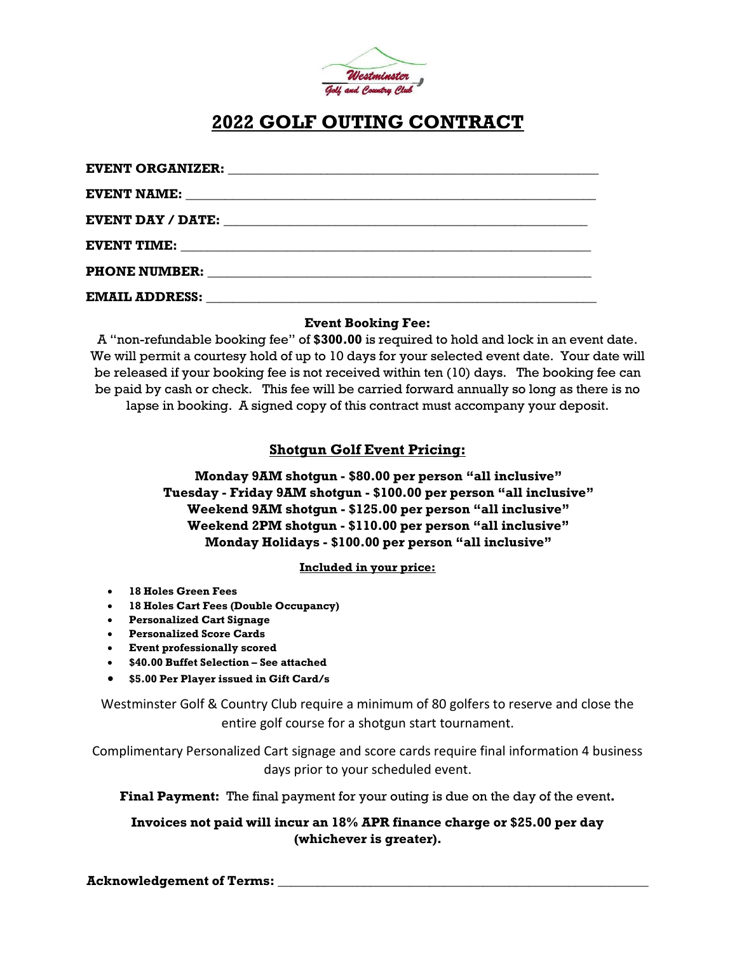

### **2022 GOLF OUTING CONTRACT**

| <b>EVENT ORGANIZER:</b> |                                                                                                                                                                                                                                     |
|-------------------------|-------------------------------------------------------------------------------------------------------------------------------------------------------------------------------------------------------------------------------------|
|                         |                                                                                                                                                                                                                                     |
|                         | <b>EVENT DAY / DATE:</b> The state of the state of the state of the state of the state of the state of the state of the state of the state of the state of the state of the state of the state of the state of the state of the sta |
|                         |                                                                                                                                                                                                                                     |
|                         | <b>PHONE NUMBER:</b> North and the second second second second second second second second second second second second second second second second second second second second second second second second second second second sec |
|                         | EMAIL ADDRESS: National Address and American Assembly and American Assembly and A                                                                                                                                                   |

#### **Event Booking Fee:**

A "non-refundable booking fee" of **\$300.00** is required to hold and lock in an event date. We will permit a courtesy hold of up to 10 days for your selected event date. Your date will be released if your booking fee is not received within ten (10) days. The booking fee can be paid by cash or check. This fee will be carried forward annually so long as there is no lapse in booking. A signed copy of this contract must accompany your deposit.

### **Shotgun Golf Event Pricing:**

### **Monday 9AM shotgun - \$80.00 per person "all inclusive" Tuesday - Friday 9AM shotgun - \$100.00 per person "all inclusive" Weekend 9AM shotgun - \$125.00 per person "all inclusive" Weekend 2PM shotgun - \$110.00 per person "all inclusive" Monday Holidays - \$100.00 per person "all inclusive"**

#### **Included in your price:**

- **18 Holes Green Fees**
- **18 Holes Cart Fees (Double Occupancy)**
- **Personalized Cart Signage**
- **Personalized Score Cards**
- **Event professionally scored**
- **\$40.00 Buffet Selection – See attached**
- **\$5.00 Per Player issued in Gift Card/s**

Westminster Golf & Country Club require a minimum of 80 golfers to reserve and close the entire golf course for a shotgun start tournament.

Complimentary Personalized Cart signage and score cards require final information 4 business days prior to your scheduled event.

**Final Payment:** The final payment for your outing is due on the day of the event**.**

#### **Invoices not paid will incur an 18% APR finance charge or \$25.00 per day (whichever is greater).**

**Acknowledgement of Terms: \_\_\_\_\_\_\_\_\_\_\_\_\_\_\_\_\_\_\_\_\_\_\_\_\_\_\_\_\_\_\_\_\_\_\_\_\_\_\_\_\_\_\_\_\_\_\_\_\_\_\_\_\_\_\_\_**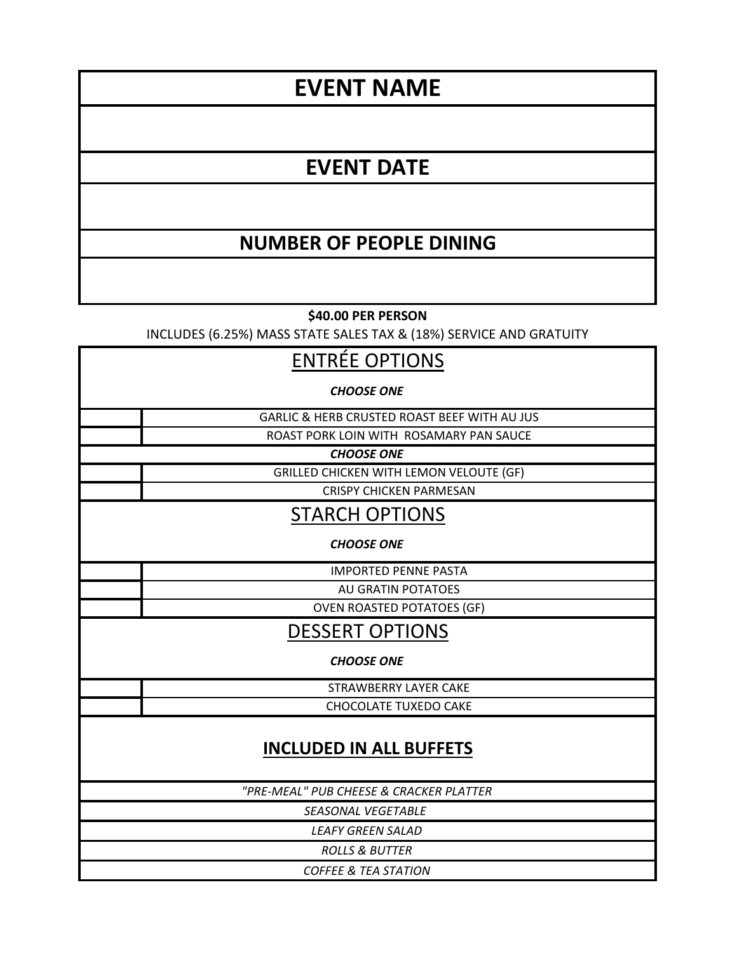# **EVENT NAME**

## **EVENT DATE**

## **NUMBER OF PEOPLE DINING**

**\$40.00 PER PERSON** 

INCLUDES (6.25%) MASS STATE SALES TAX & (18%) SERVICE AND GRATUITY

### ENTRÉE OPTIONS

*CHOOSE ONE*

GARLIC & HERB CRUSTED ROAST BEEF WITH AU JUS

ROAST PORK LOIN WITH ROSAMARY PAN SAUCE

*CHOOSE ONE*

GRILLED CHICKEN WITH LEMON VELOUTE (GF)

CRISPY CHICKEN PARMESAN

STARCH OPTIONS

*CHOOSE ONE*

IMPORTED PENNE PASTA

AU GRATIN POTATOES

OVEN ROASTED POTATOES (GF)

DESSERT OPTIONS

*CHOOSE ONE*

STRAWBERRY LAYER CAKE CHOCOLATE TUXEDO CAKE

### **INCLUDED IN ALL BUFFETS**

*"PRE-MEAL" PUB CHEESE & CRACKER PLATTER*

*SEASONAL VEGETABLE* 

*LEAFY GREEN SALAD*

*ROLLS & BUTTER COFFEE & TEA STATION*